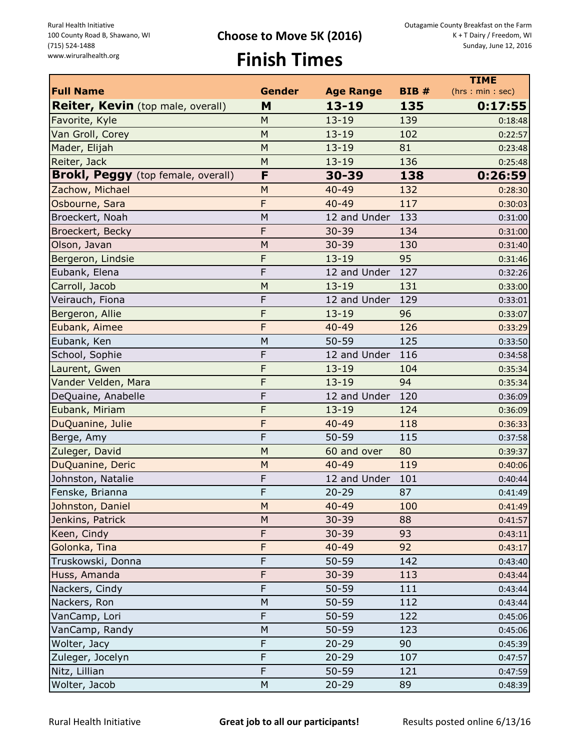**Choose to Move 5K (2016)**

## **Finish Times**

|                                    |               |                  |             | <b>TIME</b>     |
|------------------------------------|---------------|------------------|-------------|-----------------|
| <b>Full Name</b>                   | <b>Gender</b> | <b>Age Range</b> | <b>BIB#</b> | (hrs: min: sec) |
| Reiter, Kevin (top male, overall)  | M             | 13-19            | 135         | 0:17:55         |
| Favorite, Kyle                     | M             | $13 - 19$        | 139         | 0:18:48         |
| Van Groll, Corey                   | M             | $13 - 19$        | 102         | 0:22:57         |
| Mader, Elijah                      | M             | $13 - 19$        | 81          | 0:23:48         |
| Reiter, Jack                       | M             | $13 - 19$        | 136         | 0:25:48         |
| Brokl, Peggy (top female, overall) | F             | 30-39            | 138         | 0:26:59         |
| Zachow, Michael                    | M             | $40 - 49$        | 132         | 0:28:30         |
| Osbourne, Sara                     | F             | $40 - 49$        | 117         | 0:30:03         |
| Broeckert, Noah                    | M             | 12 and Under     | 133         | 0:31:00         |
| Broeckert, Becky                   | F             | $30 - 39$        | 134         | 0:31:00         |
| Olson, Javan                       | M             | $30 - 39$        | 130         | 0:31:40         |
| Bergeron, Lindsie                  | F             | $13 - 19$        | 95          | 0:31:46         |
| Eubank, Elena                      | F             | 12 and Under     | 127         | 0:32:26         |
| Carroll, Jacob                     | M             | $13 - 19$        | 131         | 0:33:00         |
| Veirauch, Fiona                    | F             | 12 and Under     | 129         | 0:33:01         |
| Bergeron, Allie                    | F             | $13 - 19$        | 96          | 0:33:07         |
| Eubank, Aimee                      | F             | $40 - 49$        | 126         | 0:33:29         |
| Eubank, Ken                        | M             | $50 - 59$        | 125         | 0:33:50         |
| School, Sophie                     | F             | 12 and Under     | 116         | 0:34:58         |
| Laurent, Gwen                      | F             | $13 - 19$        | 104         | 0:35:34         |
| Vander Velden, Mara                | F             | $13 - 19$        | 94          | 0:35:34         |
| DeQuaine, Anabelle                 | F             | 12 and Under     | 120         | 0:36:09         |
| Eubank, Miriam                     | F             | $13 - 19$        | 124         | 0:36:09         |
| DuQuanine, Julie                   | F             | $40 - 49$        | 118         | 0:36:33         |
| Berge, Amy                         | F             | $50 - 59$        | 115         | 0:37:58         |
| Zuleger, David                     | M             | 60 and over      | 80          | 0:39:37         |
| DuQuanine, Deric                   | M             | $40 - 49$        | 119         | 0:40:06         |
| Johnston, Natalie                  | F             | 12 and Under     | 101         | 0:40:44         |
| Fenske, Brianna                    | F             | $20 - 29$        | 87          | 0:41:49         |
| Johnston, Daniel                   | M             | $40 - 49$        | 100         | 0:41:49         |
| Jenkins, Patrick                   | M             | $30 - 39$        | 88          | 0:41:57         |
| Keen, Cindy                        | F             | $30 - 39$        | 93          | 0:43:11         |
| Golonka, Tina                      | F             | $40 - 49$        | 92          | 0:43:17         |
| Truskowski, Donna                  | F             | $50 - 59$        | 142         | 0:43:40         |
| Huss, Amanda                       | F             | $30 - 39$        | 113         | 0:43:44         |
| Nackers, Cindy                     | F             | $50 - 59$        | 111         | 0:43:44         |
| Nackers, Ron                       | ${\sf M}$     | $50 - 59$        | 112         | 0:43:44         |
| VanCamp, Lori                      | F             | $50 - 59$        | 122         | 0:45:06         |
| VanCamp, Randy                     | M             | $50 - 59$        | 123         | 0:45:06         |
| Wolter, Jacy                       | F             | $20 - 29$        | 90          | 0:45:39         |
| Zuleger, Jocelyn                   | F             | $20 - 29$        | 107         | 0:47:57         |
| Nitz, Lillian                      | F             | $50 - 59$        | 121         | 0:47:59         |
| Wolter, Jacob                      | M             | $20 - 29$        | 89          | 0:48:39         |